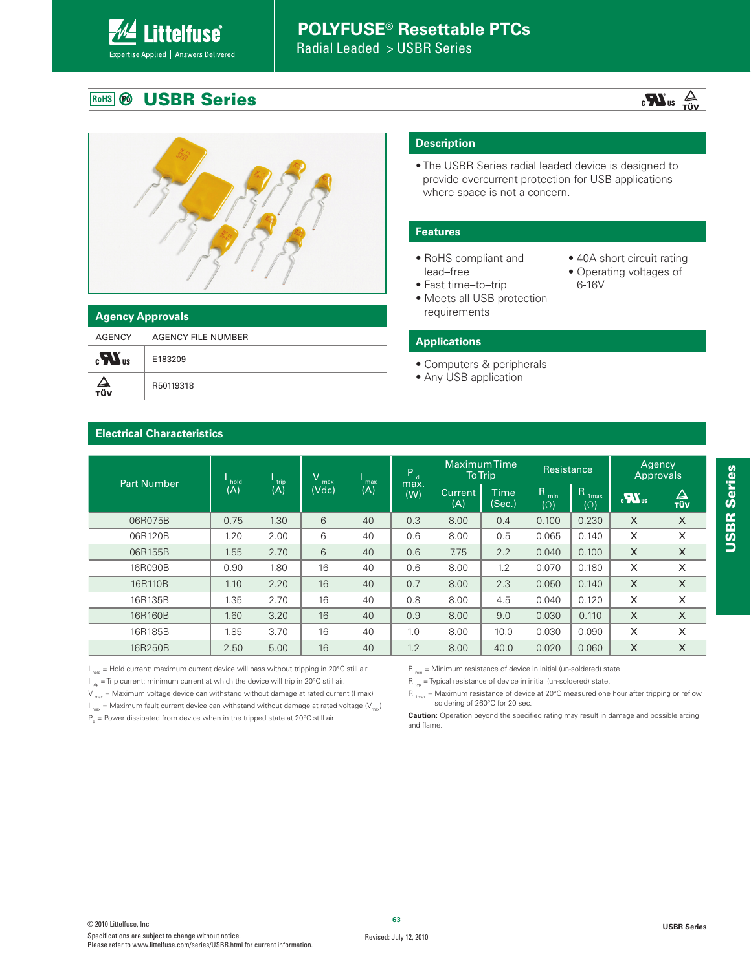## **POLYFUSE® Resettable PTCs**

Radial Leaded > USBR Series

### **USBR Series** RoHS **B**

Expertise Applied | Answers Delivered

**Littelfuse**®

### **Agency Approvals**

AGENCY AGENCY FILE NUMBER  $\mathbf{R}_{\mathrm{a}}$ E183209  $\frac{\Delta}{\text{r\"{u}v}}$ R50119318

### **Description**

. The USBR Series radial leaded device is designed to provide overcurrent protection for USB applications where space is not a concern.

### **Features**

- RoHS compliant and lead–free
- Fast time-to-trip
- Meets all USB protection requirements
- 40A short circuit rating

 $\sum_{\text{VÜT}}$  au  $\sum_{\text{VÜV}}$ 

• Operating voltages of 6-16V

### **Applications**

- Computers & peripherals
- Any USB application

### **Electrical Characteristics**

| <b>Part Number</b> | hold | V<br>trip. |       | max<br>max |             | <b>Maximum Time</b><br><b>To Trip</b> |                       | Resistance                     |                                                | Agency<br>Approvals |          |
|--------------------|------|------------|-------|------------|-------------|---------------------------------------|-----------------------|--------------------------------|------------------------------------------------|---------------------|----------|
|                    | (A)  | (A)        | (Vdc) | (A)        | max.<br>(W) | <b>Current</b><br>(A)                 | <b>Time</b><br>(Sec.) | R <sub>min</sub><br>$(\Omega)$ | $\mathsf{R}$<br>1 <sub>max</sub><br>$(\Omega)$ | $\sum_{\alpha}$     | △<br>TÜV |
| 06R075B            | 0.75 | 1.30       | 6     | 40         | 0.3         | 8.00                                  | 0.4                   | 0.100                          | 0.230                                          | X                   | X        |
| 06R120B            | 1.20 | 2.00       | 6     | 40         | 0.6         | 8.00                                  | 0.5                   | 0.065                          | 0.140                                          | X                   | X        |
| 06R155B            | 1.55 | 2.70       | 6     | 40         | 0.6         | 7.75                                  | 2.2                   | 0.040                          | 0.100                                          | $\times$            | $\times$ |
| 16R090B            | 0.90 | 1.80       | 16    | 40         | 0.6         | 8.00                                  | 1.2                   | 0.070                          | 0.180                                          | X                   | X        |
| 16R110B            | 1.10 | 2.20       | 16    | 40         | 0.7         | 8.00                                  | 2.3                   | 0.050                          | 0.140                                          | X                   | X        |
| 16R135B            | 1.35 | 2.70       | 16    | 40         | 0.8         | 8.00                                  | 4.5                   | 0.040                          | 0.120                                          | X                   | X        |
| 16R160B            | 1.60 | 3.20       | 16    | 40         | 0.9         | 8.00                                  | 9.0                   | 0.030                          | 0.110                                          | X                   | $\times$ |
| 16R185B            | 1.85 | 3.70       | 16    | 40         | 1.0         | 8.00                                  | 10.0                  | 0.030                          | 0.090                                          | X                   | X        |
| 16R250B            | 2.50 | 5.00       | 16    | 40         | 1.2         | 8.00                                  | 40.0                  | 0.020                          | 0.060                                          | X                   | X        |

 $I_{hold}$  = Hold current: maximum current device will pass without tripping in 20°C still air.

 $I_{\text{triv}}$  = Trip current: minimum current at which the device will trip in 20°C still air.

 $V_{\text{max}}$  = Maximum voltage device can withstand without damage at rated current (I max)

 $I_{\text{max}}$  = Maximum fault current device can withstand without damage at rated voltage  $(V_{\text{max}})$ 

 $P_d$  = Power dissipated from device when in the tripped state at 20°C still air.

 $R_{\text{min}} =$  Minimum resistance of device in initial (un-soldered) state.

 $R_{\text{two}}$  = Typical resistance of device in initial (un-soldered) state.

 $R_{1max}$  = Maximum resistance of device at 20°C measured one hour after tripping or reflow soldering of 260°C for 20 sec.

**Caution:** Operation beyond the specified rating may result in damage and possible arcing and flame.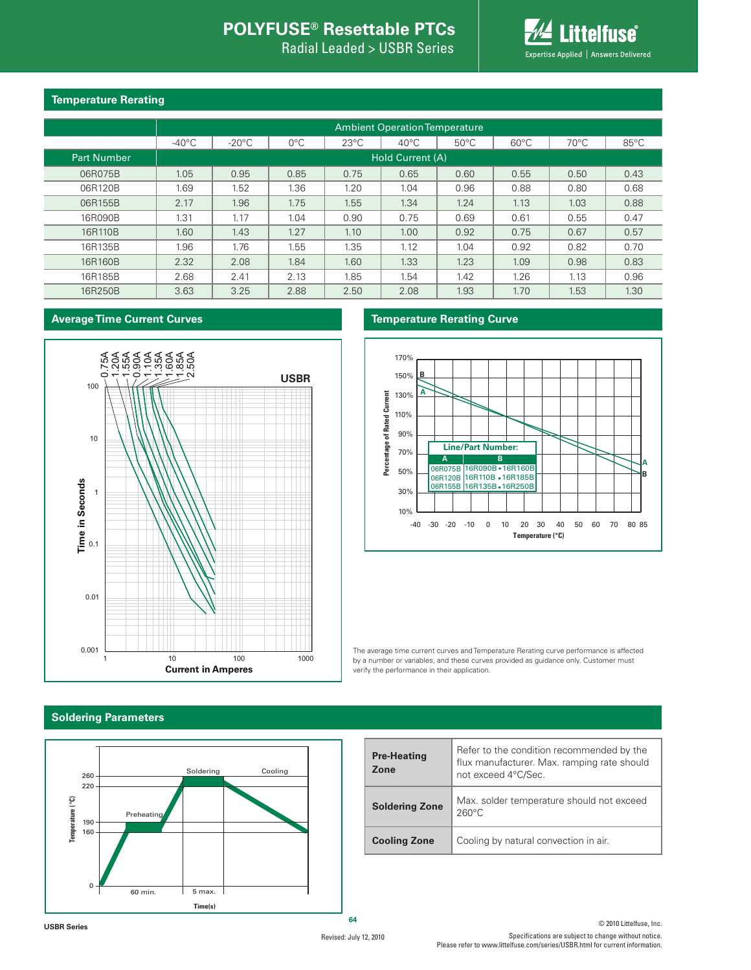## **POLYFUSE® Resettable PTCs**

Radial Leaded > USBR Series



### **Temperature Rerating**

|                    | <b>Ambient Operation Temperature</b> |                 |               |                |                         |                |                |                |                |  |  |
|--------------------|--------------------------------------|-----------------|---------------|----------------|-------------------------|----------------|----------------|----------------|----------------|--|--|
|                    | $-40^{\circ}$ C                      | $-20^{\circ}$ C | $0^{\circ}$ C | $23^{\circ}$ C | $40^{\circ}$ C          | $50^{\circ}$ C | $60^{\circ}$ C | $70^{\circ}$ C | $85^{\circ}$ C |  |  |
| <b>Part Number</b> |                                      |                 |               |                | <b>Hold Current (A)</b> |                |                |                |                |  |  |
| 06R075B            | 1.05                                 | 0.95            | 0.85          | 0.75           | 0.65                    | 0.60           | 0.55           | 0.50           | 0.43           |  |  |
| 06R120B            | 1.69                                 | 1.52            | 1.36          | 1.20           | 1.04                    | 0.96           | 0.88           | 0.80           | 0.68           |  |  |
| 06R155B            | 2.17                                 | 1.96            | 1.75          | 1.55           | 1.34                    | 1.24           | 1.13           | 1.03           | 0.88           |  |  |
| 16R090B            | 1.31                                 | 1.17            | 1.04          | 0.90           | 0.75                    | 0.69           | 0.61           | 0.55           | 0.47           |  |  |
| 16R110B            | 1.60                                 | 1.43            | 1.27          | 1.10           | 1.00                    | 0.92           | 0.75           | 0.67           | 0.57           |  |  |
| 16R135B            | 1.96                                 | 1.76            | 1.55          | 1.35           | 1.12                    | 1.04           | 0.92           | 0.82           | 0.70           |  |  |
| 16R160B            | 2.32                                 | 2.08            | 1.84          | 1.60           | 1.33                    | 1.23           | 1.09           | 0.98           | 0.83           |  |  |
| 16R185B            | 2.68                                 | 2.41            | 2.13          | 1.85           | 1.54                    | 1.42           | 1.26           | 1.13           | 0.96           |  |  |
| 16R250B            | 3.63                                 | 3.25            | 2.88          | 2.50           | 2.08                    | 1.93           | 1.70           | 1.53           | 1.30           |  |  |

### **Average Time Current Curves**



### **Temperature Rerating Curve**



The average time current curves and Temperature Rerating curve performance is affected by a number or variables, and these curves provided as guidance only. Customer must verify the performance in their application.

### **Soldering Parameters**



| <b>Pre-Heating</b><br>Zone | Refer to the condition recommended by the<br>flux manufacturer. Max. ramping rate should<br>not exceed 4°C/Sec. |
|----------------------------|-----------------------------------------------------------------------------------------------------------------|
| <b>Soldering Zone</b>      | Max. solder temperature should not exceed<br>$260^{\circ}$ C                                                    |
| <b>Cooling Zone</b>        | Cooling by natural convection in air.                                                                           |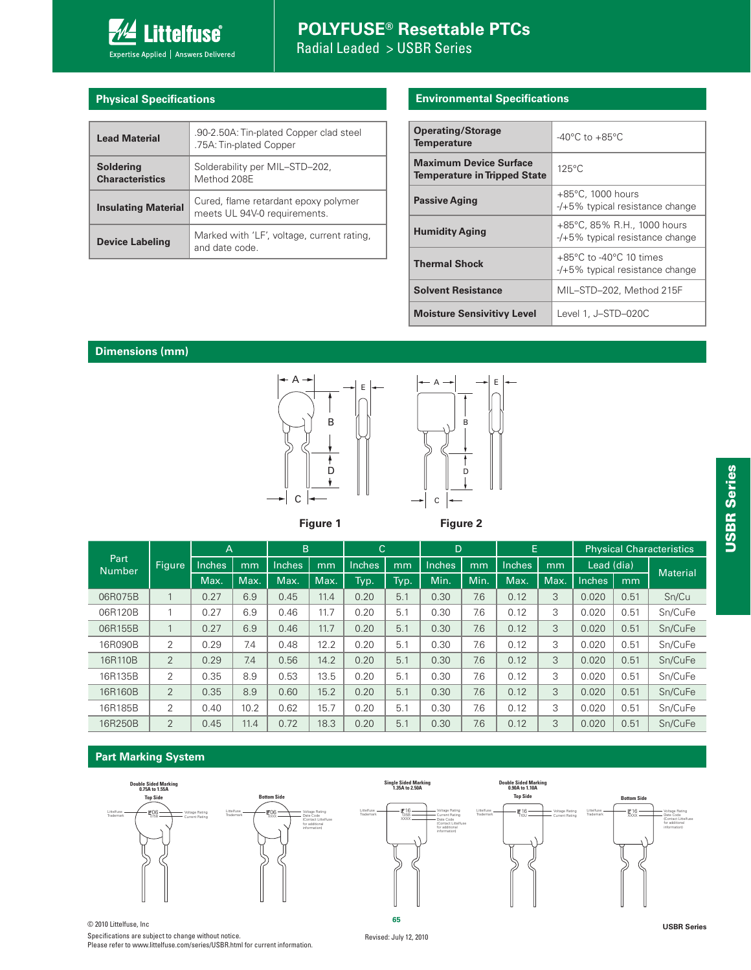

## **POLYFUSE® Resettable PTCs** Radial Leaded > USBR Series

### **Physical Specifications**

| <b>Lead Material</b>                       | .90-2.50A: Tin-plated Copper clad steel<br>.75A: Tin-plated Copper   |
|--------------------------------------------|----------------------------------------------------------------------|
| <b>Soldering</b><br><b>Characteristics</b> | Solderability per MIL-STD-202,<br>Method 208E                        |
| <b>Insulating Material</b>                 | Cured, flame retardant epoxy polymer<br>meets UL 94V-0 requirements. |
| <b>Device Labeling</b>                     | Marked with 'LF', voltage, current rating,<br>and date code          |

### **Environmental Specifications**

| <b>Operating/Storage</b><br><b>Temperature</b>                       | $-40^{\circ}$ C to $+85^{\circ}$ C                                                 |
|----------------------------------------------------------------------|------------------------------------------------------------------------------------|
| <b>Maximum Device Surface</b><br><b>Temperature in Tripped State</b> | $125^{\circ}$ C                                                                    |
| <b>Passive Aging</b>                                                 | $+85^{\circ}$ C, 1000 hours<br>$-$ /+5% typical resistance change                  |
| <b>Humidity Aging</b>                                                | +85°C, 85% R.H., 1000 hours<br>$-$ /+5% typical resistance change                  |
| <b>Thermal Shock</b>                                                 | $+85^{\circ}$ C to -40 $^{\circ}$ C 10 times<br>$-$ /+5% typical resistance change |
| <b>Solvent Resistance</b>                                            | MIL-STD-202, Method 215F                                                           |
| <b>Moisture Sensivitivy Level</b>                                    | Level 1, J-STD-020C                                                                |

### **Dimensions (mm)**



**Figure 1**

**Figure 2**

B

D

|                 |                | A      |      | B      |      | $\mathsf{C}$ |      | D      |      | E      |      |               |      | <b>Physical Characteristics</b> |
|-----------------|----------------|--------|------|--------|------|--------------|------|--------|------|--------|------|---------------|------|---------------------------------|
| Part<br>Number' | <b>Figure</b>  | Inches | mm   | Inches | mm   | Inches       | mm   | Inches | mm   | Inches | mm   | Lead (dia)    |      | <b>Material</b>                 |
|                 |                | Max.   | Max. | Max.   | Max. | Typ.         | Typ. | Min.   | Min. | Max.   | Max. | <b>Inches</b> | mm   |                                 |
| 06R075B         | 1              | 0.27   | 6.9  | 0.45   | 11.4 | 0.20         | 5.1  | 0.30   | 7.6  | 0.12   | 3    | 0.020         | 0.51 | Sn/Cu                           |
| 06R120B         | 1              | 0.27   | 6.9  | 0.46   | 11.7 | 0.20         | 5.1  | 0.30   | 7.6  | 0.12   | 3    | 0.020         | 0.51 | Sn/CuFe                         |
| 06R155B         | 1              | 0.27   | 6.9  | 0.46   | 11.7 | 0.20         | 5.1  | 0.30   | 7.6  | 0.12   | 3    | 0.020         | 0.51 | Sn/CuFe                         |
| 16R090B         | 2              | 0.29   | 7.4  | 0.48   | 12.2 | 0.20         | 5.1  | 0.30   | 7.6  | 0.12   | 3    | 0.020         | 0.51 | Sn/CuFe                         |
| 16R110B         | 2              | 0.29   | 7.4  | 0.56   | 14.2 | 0.20         | 5.1  | 0.30   | 7.6  | 0.12   | 3    | 0.020         | 0.51 | Sn/CuFe                         |
| 16R135B         | 2              | 0.35   | 8.9  | 0.53   | 13.5 | 0.20         | 5.1  | 0.30   | 7.6  | 0.12   | 3    | 0.020         | 0.51 | Sn/CuFe                         |
| 16R160B         | 2              | 0.35   | 8.9  | 0.60   | 15.2 | 0.20         | 5.1  | 0.30   | 7.6  | 0.12   | 3    | 0.020         | 0.51 | Sn/CuFe                         |
| 16R185B         | 2              | 0.40   | 10.2 | 0.62   | 15.7 | 0.20         | 5.1  | 0.30   | 7.6  | 0.12   | 3    | 0.020         | 0.51 | Sn/CuFe                         |
| 16R250B         | $\overline{2}$ | 0.45   | 11.4 | 0.72   | 18.3 | 0.20         | 5.1  | 0.30   | 7.6  | 0.12   | 3    | 0.020         | 0.51 | Sn/CuFe                         |

### **Part Marking System**



© 2010 Littelfuse, Inc **USBR Series** Specifications are subject to change without notice. Please refer to www.littelfuse.com/series/USBR.html for current information.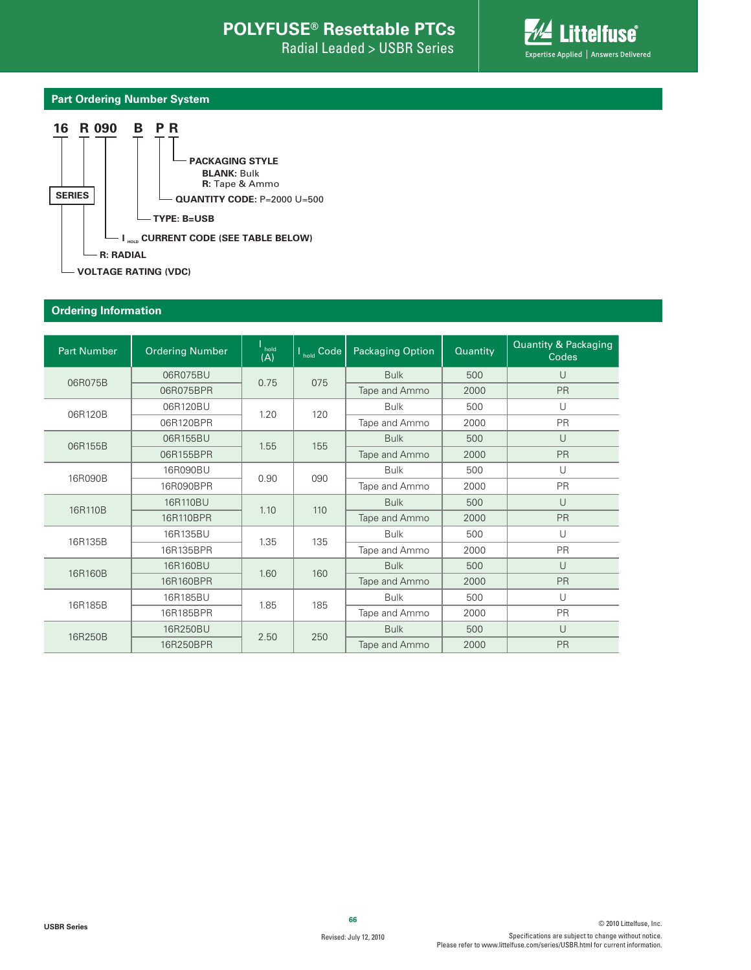Radial Leaded > USBR Series



### **Part Ordering Number System**



### **Ordering Information**

| <b>Part Number</b> | <b>Ordering Number</b> | hold<br>(A) | $I_{hold}$ Code | <b>Packaging Option</b> | Quantity | <b>Quantity &amp; Packaging</b><br>Codes |
|--------------------|------------------------|-------------|-----------------|-------------------------|----------|------------------------------------------|
| 06R075B            | 06R075BU               | 0.75        | 075             | <b>Bulk</b>             | 500      | U                                        |
|                    | 06R075BPR              |             |                 | Tape and Ammo           | 2000     | PR                                       |
| 06R120B            | 06R120BU               |             |                 | <b>Bulk</b>             | 500      | $\cup$                                   |
|                    | 06R120BPR              | 1.20        | 120             | Tape and Ammo           | 2000     | PR                                       |
| 06R155B            | 06R155BU               |             | 155             | <b>Bulk</b>             | 500      | U                                        |
|                    | 06R155BPR              | 1.55        |                 | Tape and Ammo           | 2000     | PR                                       |
| 16R090B            | 16R090BU               | 0.90        | 090             | <b>Bulk</b>             | 500      | $\cup$                                   |
|                    | 16R090BPR              |             |                 | Tape and Ammo           | 2000     | <b>PR</b>                                |
|                    | 16R110BU               |             |                 | <b>Bulk</b>             | 500      | $\cup$                                   |
| 16R110B            | 16R110BPR              | 1.10        | 110             | Tape and Ammo           | 2000     | <b>PR</b>                                |
| 16R135B            | 16R135BU               | 1.35        | 135             | <b>Bulk</b>             | 500      | $\cup$                                   |
|                    | 16R135BPR              |             |                 | Tape and Ammo           | 2000     | <b>PR</b>                                |
| 16R160B            | 16R160BU               | 1.60        | 160             | <b>Bulk</b>             | 500      | $\cup$                                   |
|                    | 16R160BPR              |             |                 | Tape and Ammo           | 2000     | <b>PR</b>                                |
| 16R185B            | 16R185BU               | 1.85        | 185             | <b>Bulk</b>             | 500      | U                                        |
|                    | 16R185BPR              |             |                 | Tape and Ammo           | 2000     | <b>PR</b>                                |
|                    | 16R250BU               | 2.50        | 250             | <b>Bulk</b>             | 500      | $\cup$                                   |
| 16R250B            | 16R250BPR              |             |                 | Tape and Ammo           | 2000     | PR                                       |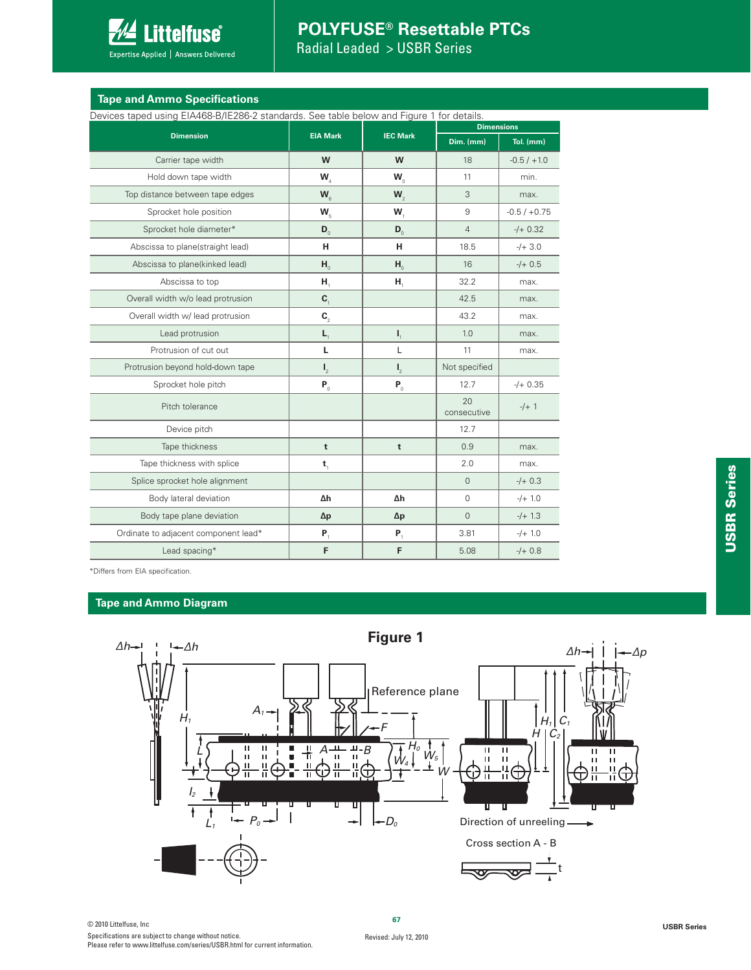

## **POLYFUSE® Resettable PTCs**

Radial Leaded > USBR Series

| <b>Tape and Ammo Specifications</b> |  |
|-------------------------------------|--|
|                                     |  |

Devices taped using EIA468-B/IE286-2 standards. See table below and Figure 1 for details.

| DUVIUUS tapuu using EIA400 D/IEZOO Z Stanuarus. OUU tabiu bulovy anu ngaru ni lor uutalis. |                  |                                      | <b>Dimensions</b> |                |  |  |
|--------------------------------------------------------------------------------------------|------------------|--------------------------------------|-------------------|----------------|--|--|
| <b>Dimension</b>                                                                           | <b>EIA Mark</b>  | <b>IEC Mark</b>                      | Dim. (mm)         | Tol. (mm)      |  |  |
| Carrier tape width                                                                         | W                | W                                    | 18                | $-0.5/ +1.0$   |  |  |
| Hold down tape width                                                                       | W,               | $W_{\alpha}$                         | 11                | min.           |  |  |
| Top distance between tape edges                                                            | $W_{\alpha}$     | $W_{\gamma}$                         | 3                 | max.           |  |  |
| Sprocket hole position                                                                     | $W_{\rm s}$      | $W_{1}$                              | 9                 | $-0.5 / +0.75$ |  |  |
| Sprocket hole diameter*                                                                    | $\mathbf{D}_{0}$ | $\mathbf{D}_{\scriptscriptstyle{0}}$ | $\overline{4}$    | $-/- 0.32$     |  |  |
| Abscissa to plane(straight lead)                                                           | н                | н                                    | 18.5              | $-/- 3.0$      |  |  |
| Abscissa to plane(kinked lead)                                                             | $H_0$            | $H_0$                                | 16                | $-/+$ 0.5      |  |  |
| Abscissa to top                                                                            | Н,               | Н,                                   | 32.2              | max.           |  |  |
| Overall width w/o lead protrusion                                                          | $\mathbf{C}_{1}$ |                                      | 42.5              | max.           |  |  |
| Overall width w/ lead protrusion                                                           | $\mathbf{C}_2$   |                                      | 43.2              | max.           |  |  |
| Lead protrusion                                                                            | $L_{1}$          | $\mathbf{I}_{1}$                     | 1.0               | max.           |  |  |
| Protrusion of cut out                                                                      | L                | L                                    | 11                | max.           |  |  |
| Protrusion beyond hold-down tape                                                           | $\mathbf{I}_{2}$ | $\mathbf{I}_{2}$                     | Not specified     |                |  |  |
| Sprocket hole pitch                                                                        | $P_0$            | $P_0$                                | 12.7              | $-/- 0.35$     |  |  |
| Pitch tolerance                                                                            |                  |                                      | 20<br>consecutive | $-/-1$         |  |  |
| Device pitch                                                                               |                  |                                      | 12.7              |                |  |  |
| Tape thickness                                                                             | $\mathbf t$      | t                                    | 0.9               | max.           |  |  |
| Tape thickness with splice                                                                 | $\mathbf{t}_{1}$ |                                      | 2.0               | max.           |  |  |
| Splice sprocket hole alignment                                                             |                  |                                      | $\Omega$          | $-/+$ 0.3      |  |  |
| Body lateral deviation                                                                     | Δh               | Δh                                   | $\mathbf 0$       | $-/- 1.0$      |  |  |
| Body tape plane deviation                                                                  | $\Delta p$       | $\Delta p$                           | $\overline{0}$    | $-/- 1.3$      |  |  |
| Ordinate to adjacent component lead*                                                       | $P_1$            | $P_1$                                | 3.81              | $-/- 1.0$      |  |  |
| Lead spacing*                                                                              | F                | F                                    | 5.08              | $-/+$ 0.8      |  |  |

\*Differs from EIA specification.

### **Tape and Ammo Diagram**